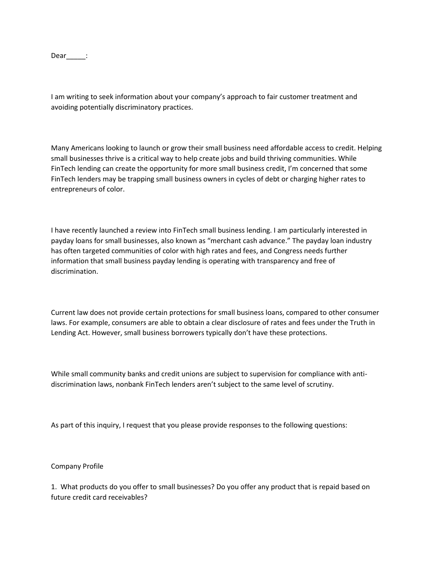Dear\_\_\_\_\_:

I am writing to seek information about your company's approach to fair customer treatment and avoiding potentially discriminatory practices.

Many Americans looking to launch or grow their small business need affordable access to credit. Helping small businesses thrive is a critical way to help create jobs and build thriving communities. While FinTech lending can create the opportunity for more small business credit, I'm concerned that some FinTech lenders may be trapping small business owners in cycles of debt or charging higher rates to entrepreneurs of color.

I have recently launched a review into FinTech small business lending. I am particularly interested in payday loans for small businesses, also known as "merchant cash advance." The payday loan industry has often targeted communities of color with high rates and fees, and Congress needs further information that small business payday lending is operating with transparency and free of discrimination.

Current law does not provide certain protections for small business loans, compared to other consumer laws. For example, consumers are able to obtain a clear disclosure of rates and fees under the Truth in Lending Act. However, small business borrowers typically don't have these protections.

While small community banks and credit unions are subject to supervision for compliance with antidiscrimination laws, nonbank FinTech lenders aren't subject to the same level of scrutiny.

As part of this inquiry, I request that you please provide responses to the following questions:

Company Profile

1. What products do you offer to small businesses? Do you offer any product that is repaid based on future credit card receivables?